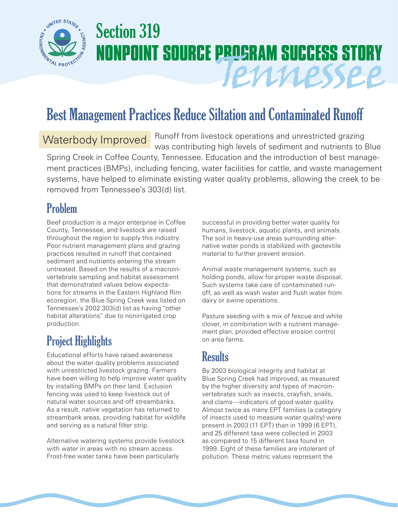

# Section 319 **NONPOINT SOURCE PROGRAM SUCCESS STORY** Tennessee

## Best Management Practices Reduce Siltation and Contaminated Runoff

Runoff from livestock operations and unrestricted grazing was contributing high levels of sediment and nutrients to Blue Spring Creek in Coffee County, Tennessee. Education and the introduction of best management practices (BMPs), including fencing, water facilities for cattle, and waste management systems, have helped to eliminate existing water quality problems, allowing the creek to be removed from Tennessee's 303(d) list. Waterbody Improved

#### Problem

Beef production is a major enterprise in Coffee County, Tennessee, and livestock are raised throughout the region to supply this industry. Poor nutrient management plans and grazing practices resulted in runoff that contained sediment and nutrients entering the stream untreated. Based on the results of a macroinvertebrate sampling and habitat assessment that demonstrated values below expectations for streams in the Eastern Highland Rim ecoregion, the Blue Spring Creek was listed on Tennessee's 2002 303(d) list as having "other habitat alterations" due to nonirrigated crop production.

## Project Highlights

Educational efforts have raised awareness about the water quality problems associated with unrestricted livestock grazing. Farmers have been willing to help improve water quality by installing BMPs on their land. Exclusion fencing was used to keep livestock out of natural water sources and off streambanks. As a result, native vegetation has returned to streambank areas, providing habitat for wildlife and serving as a natural filter strip.

Alternative watering systems provide livestock with water in areas with no stream access. Frost-free water tanks have been particularly

successful in providing better water quality for humans, livestock, aquatic plants, and animals. The soil in heavy-use areas surrounding alternative water ponds is stabilized with geotextile material to further prevent erosion.

Animal waste management systems, such as holding ponds, allow for proper waste disposal. Such systems take care of contaminated runoff, as well as wash water and flush water from dairy or swine operations.

Pasture seeding with a mix of fescue and white clover, in combination with a nutrient management plan, provided effective erosion control on area farms.

### **Results**

By 2003 biological integrity and habitat at Blue Spring Creek had improved, as measured by the higher diversity and types of macroinvertebrates such as insects, crayfish, snails, and clams—indicators of good water quality. Almost twice as many EPT families (a category of insects used to measure water quality) were present in 2003 (11 EPT) than in 1999 (6 EPT), and 25 different taxa were collected in 2003 as compared to 15 different taxa found in 1999. Eight of these families are intolerant of pollution. These metric values represent the